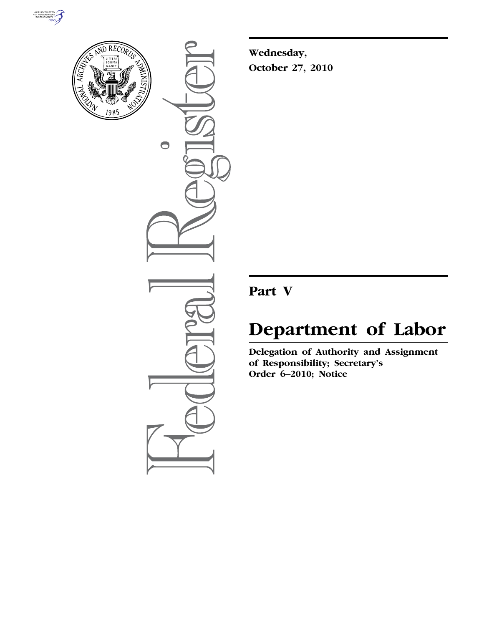



 $\bullet$ 

**Wednesday, October 27, 2010** 

# **Part V**

# **Department of Labor**

**Delegation of Authority and Assignment of Responsibility; Secretary's Order 6–2010; Notice**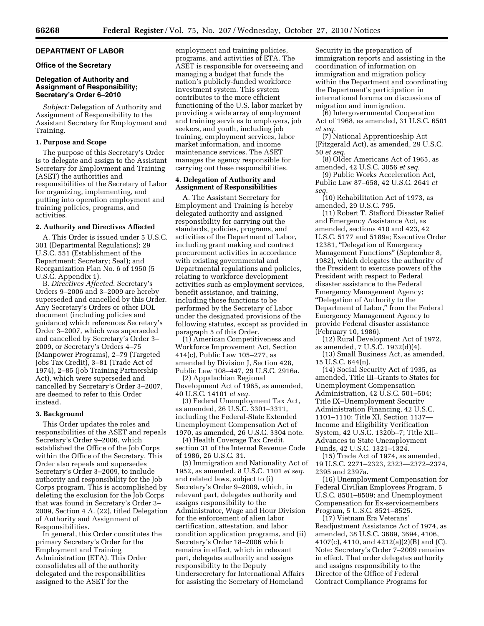# **DEPARTMENT OF LABOR**

### **Office of the Secretary**

# **Delegation of Authority and Assignment of Responsibility; Secretary's Order 6–2010**

*Subject:* Delegation of Authority and Assignment of Responsibility to the Assistant Secretary for Employment and Training.

#### **1. Purpose and Scope**

The purpose of this Secretary's Order is to delegate and assign to the Assistant Secretary for Employment and Training (ASET) the authorities and responsibilities of the Secretary of Labor for organizing, implementing, and putting into operation employment and training policies, programs, and activities.

#### **2. Authority and Directives Affected**

A. This Order is issued under 5 U.S.C. 301 (Departmental Regulations); 29 U.S.C. 551 (Establishment of the Department; Secretary; Seal); and Reorganization Plan No. 6 of 1950 (5 U.S.C. Appendix 1).

B. *Directives Affected.* Secretary's Orders 9–2006 and 3–2009 are hereby superseded and cancelled by this Order. Any Secretary's Orders or other DOL document (including policies and guidance) which references Secretary's Order 3–2007, which was superseded and cancelled by Secretary's Order 3– 2009, or Secretary's Orders 4–75 (Manpower Programs), 2–79 (Targeted Jobs Tax Credit), 3–81 (Trade Act of 1974), 2–85 (Job Training Partnership Act), which were superseded and cancelled by Secretary's Order 3–2007, are deemed to refer to this Order instead.

#### **3. Background**

This Order updates the roles and responsibilities of the ASET and repeals Secretary's Order 9–2006, which established the Office of the Job Corps within the Office of the Secretary. This Order also repeals and supersedes Secretary's Order 3–2009, to include authority and responsibility for the Job Corps program. This is accomplished by deleting the exclusion for the Job Corps that was found in Secretary's Order 3– 2009, Section 4 A. (22), titled Delegation of Authority and Assignment of Responsibilities.

In general, this Order constitutes the primary Secretary's Order for the Employment and Training Administration (ETA). This Order consolidates all of the authority delegated and the responsibilities assigned to the ASET for the

employment and training policies, programs, and activities of ETA. The ASET is responsible for overseeing and managing a budget that funds the nation's publicly-funded workforce investment system. This system contributes to the more efficient functioning of the U.S. labor market by providing a wide array of employment and training services to employers, job seekers, and youth, including job training, employment services, labor market information, and income maintenance services. The ASET manages the agency responsible for carrying out these responsibilities.

# **4. Delegation of Authority and Assignment of Responsibilities**

A. The Assistant Secretary for Employment and Training is hereby delegated authority and assigned responsibility for carrying out the standards, policies, programs, and activities of the Department of Labor, including grant making and contract procurement activities in accordance with existing governmental and Departmental regulations and policies, relating to workforce development activities such as employment services, benefit assistance, and training, including those functions to be performed by the Secretary of Labor under the designated provisions of the following statutes, except as provided in paragraph 5 of this Order.

(1) American Competitiveness and Workforce Improvement Act, Section 414(c), Public Law 105–277, as amended by Division J, Section 428, Public Law 108–447, 29 U.S.C. 2916a.

(2) Appalachian Regional Development Act of 1965, as amended, 40 U.S.C. 14101 *et seq.* 

(3) Federal Unemployment Tax Act, as amended, 26 U.S.C. 3301–3311, including the Federal-State Extended Unemployment Compensation Act of 1970, as amended, 26 U.S.C. 3304 note.

(4) Health Coverage Tax Credit, section 31 of the Internal Revenue Code of 1986, 26 U.S.C. 31.

(5) Immigration and Nationality Act of 1952, as amended, 8 U.S.C. 1101 *et seq.*  and related laws, subject to (i) Secretary's Order 9–2009, which, in relevant part, delegates authority and assigns responsibility to the Administrator, Wage and Hour Division for the enforcement of alien labor certification, attestation, and labor condition application programs, and (ii) Secretary's Order 18–2006 which remains in effect, which in relevant part, delegates authority and assigns responsibility to the Deputy Undersecretary for International Affairs for assisting the Secretary of Homeland

Security in the preparation of immigration reports and assisting in the coordination of information on immigration and migration policy within the Department and coordinating the Department's participation in international forums on discussions of migration and immigration.

(6) Intergovernmental Cooperation Act of 1968, as amended, 31 U.S.C. 6501 *et seq.* 

(7) National Apprenticeship Act (Fitzgerald Act), as amended, 29 U.S.C. 50 *et seq.* 

(8) Older Americans Act of 1965, as amended, 42 U.S.C. 3056 *et seq.* 

(9) Public Works Acceleration Act, Public Law 87–658, 42 U.S.C. 2641 *et seq.* 

(10) Rehabilitation Act of 1973, as amended, 29 U.S.C. 795.

(11) Robert T. Stafford Disaster Relief and Emergency Assistance Act, as amended, sections 410 and 423, 42 U.S.C. 5177 and 5189a; Executive Order 12381, ''Delegation of Emergency Management Functions'' (September 8, 1982), which delegates the authority of the President to exercise powers of the President with respect to Federal disaster assistance to the Federal Emergency Management Agency; ''Delegation of Authority to the Department of Labor,'' from the Federal Emergency Management Agency to provide Federal disaster assistance (February 10, 1986).

(12) Rural Development Act of 1972, as amended, 7 U.S.C. 1932(d)(4).

(13) Small Business Act, as amended, 15 U.S.C. 644(n).

(14) Social Security Act of 1935, as amended, Title III–Grants to States for Unemployment Compensation Administration, 42 U.S.C. 501–504; Title IX–Unemployment Security Administration Financing, 42 U.S.C. 1101–1110; Title XI, Section 1137— Income and Eligibility Verification System, 42 U.S.C. 1320b–7; Title XII– Advances to State Unemployment Funds, 42 U.S.C. 1321–1324.

(15) Trade Act of 1974, as amended, 19 U.S.C. 2271–2323, 2323—2372–2374, 2395 and 2397a.

(16) Unemployment Compensation for Federal Civilian Employees Program, 5 U.S.C. 8501–8509; and Unemployment Compensation for Ex-servicemembers Program, 5 U.S.C. 8521–8525.

(17) Vietnam Era Veterans' Readjustment Assistance Act of 1974, as amended, 38 U.S.C. 3689, 3694, 4106, 4107(c), 4110, and 4212(a)(2)(B) and (C). Note: Secretary's Order 7–2009 remains in effect. That order delegates authority and assigns responsibility to the Director of the Office of Federal Contract Compliance Programs for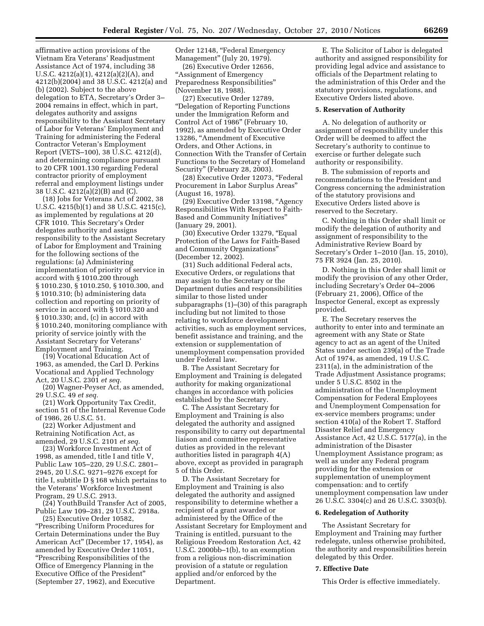affirmative action provisions of the Vietnam Era Veterans' Readjustment Assistance Act of 1974, including 38 U.S.C. 4212(a)(1), 4212(a)(2)(A), and 4212(b)(2004) and 38 U.S.C. 4212(a) and (b) (2002). Subject to the above delegation to ETA, Secretary's Order 3– 2004 remains in effect, which in part, delegates authority and assigns responsibility to the Assistant Secretary of Labor for Veterans' Employment and Training for administering the Federal Contractor Veteran's Employment Report (VETS–100), 38 U.S.C. 4212(d), and determining compliance pursuant to 20 CFR 1001.130 regarding Federal contractor priority of employment referral and employment listings under 38 U.S.C. 4212(a)(2)(B) and (C).

(18) Jobs for Veterans Act of 2002, 38 U.S.C. 4215(b)(1) and 38 U.S.C. 4215(c), as implemented by regulations at 20 CFR 1010. This Secretary's Order delegates authority and assigns responsibility to the Assistant Secretary of Labor for Employment and Training for the following sections of the regulations: (a) Administering implementation of priority of service in accord with § 1010.200 through § 1010.230, § 1010.250, § 1010.300, and § 1010.310; (b) administering data collection and reporting on priority of service in accord with § 1010.320 and § 1010.330; and, (c) in accord with § 1010.240, monitoring compliance with priority of service jointly with the Assistant Secretary for Veterans' Employment and Training.

(19) Vocational Education Act of 1963, as amended, the Carl D. Perkins Vocational and Applied Technology Act, 20 U.S.C. 2301 *et seq.* 

(20) Wagner-Peyser Act, as amended, 29 U.S.C. 49 *et seq.* 

(21) Work Opportunity Tax Credit, section 51 of the Internal Revenue Code of 1986, 26 U.S.C. 51.

(22) Worker Adjustment and Retraining Notification Act, as amended, 29 U.S.C. 2101 *et seq.* 

(23) Workforce Investment Act of 1998, as amended, title I and title V, Public Law 105–220, 29 U.S.C. 2801– 2945, 20 U.S.C. 9271–9276 except for title I, subtitle D § 168 which pertains to the Veterans' Workforce Investment Program, 29 U.S.C. 2913.

(24) YouthBuild Transfer Act of 2005, Public Law 109–281, 29 U.S.C. 2918a.

(25) Executive Order 10582, ''Prescribing Uniform Procedures for Certain Determinations under the Buy American Act'' (December 17, 1954), as amended by Executive Order 11051, ''Prescribing Responsibilities of the Office of Emergency Planning in the Executive Office of the President'' (September 27, 1962), and Executive

Order 12148, "Federal Emergency Management'' (July 20, 1979).

(26) Executive Order 12656, ''Assignment of Emergency Preparedness Responsibilities'' (November 18, 1988).

(27) Executive Order 12789, ''Delegation of Reporting Functions under the Immigration Reform and Control Act of 1986'' (February 10, 1992), as amended by Executive Order 13286, ''Amendment of Executive Orders, and Other Actions, in Connection With the Transfer of Certain Functions to the Secretary of Homeland Security'' (February 28, 2003).

(28) Executive Order 12073, "Federal Procurement in Labor Surplus Areas'' (August 16, 1978).

(29) Executive Order 13198, ''Agency Responsibilities With Respect to Faith-Based and Community Initiatives'' (January 29, 2001).

(30) Executive Order 13279, ''Equal Protection of the Laws for Faith-Based and Community Organizations'' (December 12, 2002).

(31) Such additional Federal acts, Executive Orders, or regulations that may assign to the Secretary or the Department duties and responsibilities similar to those listed under subparagraphs (1)–(30) of this paragraph including but not limited to those relating to workforce development activities, such as employment services, benefit assistance and training, and the extension or supplementation of unemployment compensation provided under Federal law.

B. The Assistant Secretary for Employment and Training is delegated authority for making organizational changes in accordance with policies established by the Secretary.

C. The Assistant Secretary for Employment and Training is also delegated the authority and assigned responsibility to carry out departmental liaison and committee representative duties as provided in the relevant authorities listed in paragraph 4(A) above, except as provided in paragraph 5 of this Order.

D. The Assistant Secretary for Employment and Training is also delegated the authority and assigned responsibility to determine whether a recipient of a grant awarded or administered by the Office of the Assistant Secretary for Employment and Training is entitled, pursuant to the Religious Freedom Restoration Act, 42 U.S.C. 2000bb–1(b), to an exemption from a religious non-discrimination provision of a statute or regulation applied and/or enforced by the Department.

E. The Solicitor of Labor is delegated authority and assigned responsibility for providing legal advice and assistance to officials of the Department relating to the administration of this Order and the statutory provisions, regulations, and Executive Orders listed above.

#### **5. Reservation of Authority**

A. No delegation of authority or assignment of responsibility under this Order will be deemed to affect the Secretary's authority to continue to exercise or further delegate such authority or responsibility.

B. The submission of reports and recommendations to the President and Congress concerning the administration of the statutory provisions and Executive Orders listed above is reserved to the Secretary.

C. Nothing in this Order shall limit or modify the delegation of authority and assignment of responsibility to the Administrative Review Board by Secretary's Order 1–2010 (Jan. 15, 2010), 75 FR 3924 (Jan. 25, 2010).

D. Nothing in this Order shall limit or modify the provision of any other Order, including Secretary's Order 04–2006 (February 21, 2006), Office of the Inspector General, except as expressly provided.

E. The Secretary reserves the authority to enter into and terminate an agreement with any State or State agency to act as an agent of the United States under section 239(a) of the Trade Act of 1974, as amended, 19 U.S.C. 2311(a), in the administration of the Trade Adjustment Assistance programs; under 5 U.S.C. 8502 in the administration of the Unemployment Compensation for Federal Employees and Unemployment Compensation for ex-service members programs; under section 410(a) of the Robert T. Stafford Disaster Relief and Emergency Assistance Act, 42 U.S.C. 5177(a), in the administration of the Disaster Unemployment Assistance program; as well as under any Federal program providing for the extension or supplementation of unemployment compensation: and to certify unemployment compensation law under 26 U.S.C. 3304(c) and 26 U.S.C. 3303(b).

#### **6. Redelegation of Authority**

The Assistant Secretary for Employment and Training may further redelegate, unless otherwise prohibited, the authority and responsibilities herein delegated by this Order.

#### **7. Effective Date**

This Order is effective immediately.